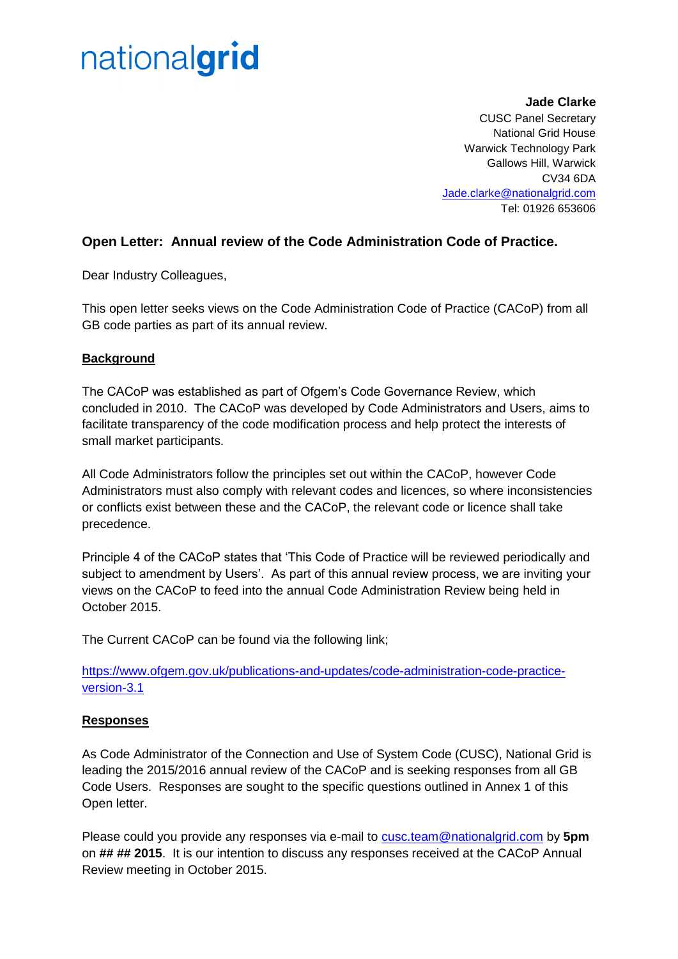## nationalgrid

**Jade Clarke** CUSC Panel Secretary National Grid House Warwick Technology Park Gallows Hill, Warwick CV34 6DA [Jade.clarke@nationalgrid.com](mailto:Jade.clarke@nationalgrid.com) Tel: 01926 653606

### **Open Letter: Annual review of the Code Administration Code of Practice.**

Dear Industry Colleagues,

This open letter seeks views on the Code Administration Code of Practice (CACoP) from all GB code parties as part of its annual review.

### **Background**

The CACoP was established as part of Ofgem's Code Governance Review, which concluded in 2010. The CACoP was developed by Code Administrators and Users, aims to facilitate transparency of the code modification process and help protect the interests of small market participants.

All Code Administrators follow the principles set out within the CACoP, however Code Administrators must also comply with relevant codes and licences, so where inconsistencies or conflicts exist between these and the CACoP, the relevant code or licence shall take precedence.

Principle 4 of the CACoP states that 'This Code of Practice will be reviewed periodically and subject to amendment by Users'. As part of this annual review process, we are inviting your views on the CACoP to feed into the annual Code Administration Review being held in October 2015.

The Current CACoP can be found via the following link;

[https://www.ofgem.gov.uk/publications-and-updates/code-administration-code-practice](https://www.ofgem.gov.uk/publications-and-updates/code-administration-code-practice-version-3.1)[version-3.1](https://www.ofgem.gov.uk/publications-and-updates/code-administration-code-practice-version-3.1)

#### **Responses**

As Code Administrator of the Connection and Use of System Code (CUSC), National Grid is leading the 2015/2016 annual review of the CACoP and is seeking responses from all GB Code Users. Responses are sought to the specific questions outlined in Annex 1 of this Open letter.

Please could you provide any responses via e-mail to [cusc.team@nationalgrid.com](mailto:cusc.team@nationalgrid.com) by **5pm** on **## ## 2015**. It is our intention to discuss any responses received at the CACoP Annual Review meeting in October 2015.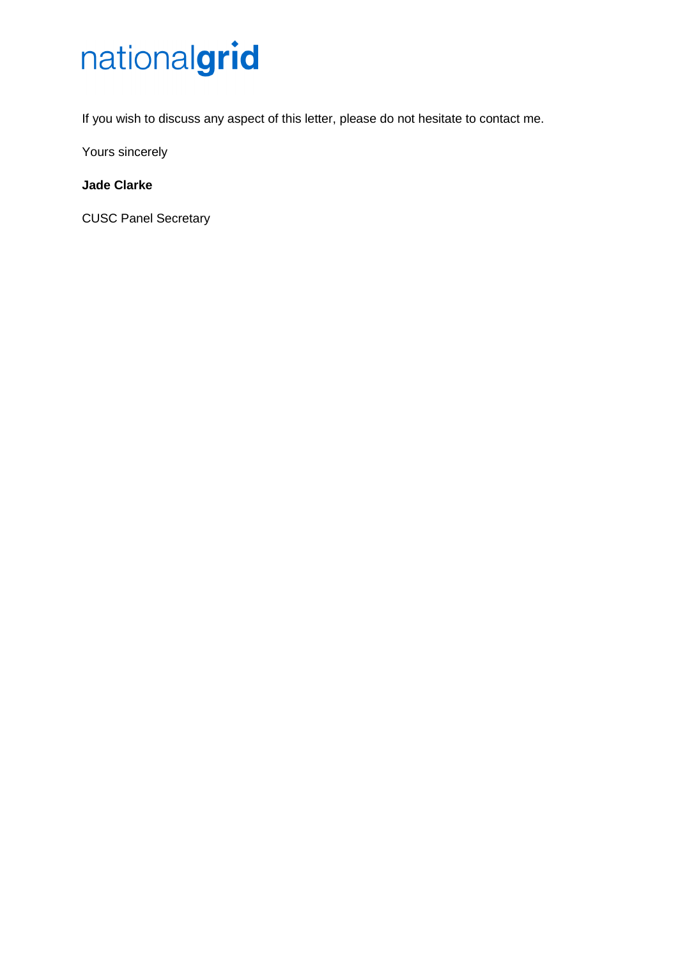# nationalgrid

If you wish to discuss any aspect of this letter, please do not hesitate to contact me.

Yours sincerely

## **Jade Clarke**

CUSC Panel Secretary